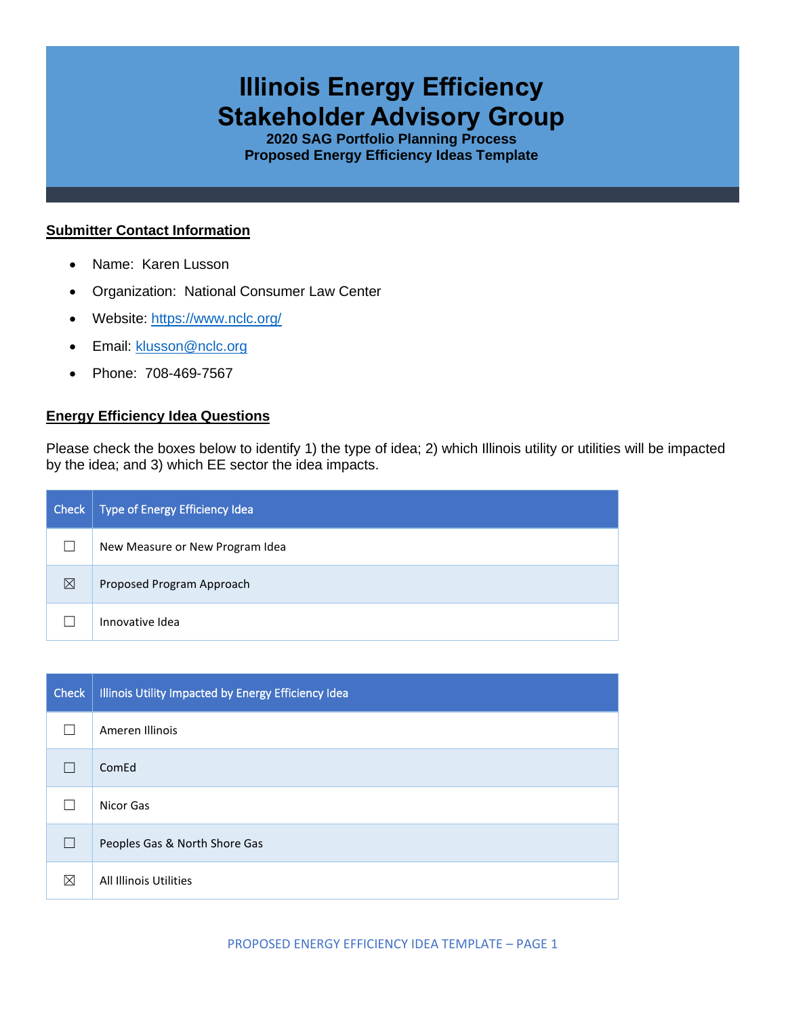# **Illinois Energy Efficiency Stakeholder Advisory Group**

**2020 SAG Portfolio Planning Process Proposed Energy Efficiency Ideas Template**

#### **Submitter Contact Information**

- Name: Karen Lusson
- Organization: National Consumer Law Center
- Website:<https://www.nclc.org/>
- Email: [klusson@nclc.org](mailto:klusson@nclc.org)
- Phone: 708-469-7567

### **Energy Efficiency Idea Questions**

Please check the boxes below to identify 1) the type of idea; 2) which Illinois utility or utilities will be impacted by the idea; and 3) which EE sector the idea impacts.

| Check | Type of Energy Efficiency Idea  |
|-------|---------------------------------|
|       | New Measure or New Program Idea |
| ⊠     | Proposed Program Approach       |
|       | Innovative Idea                 |

| <b>Check</b> | Illinois Utility Impacted by Energy Efficiency Idea |
|--------------|-----------------------------------------------------|
|              | Ameren Illinois                                     |
|              | ComEd                                               |
|              | Nicor Gas                                           |
| $\mathbf{I}$ | Peoples Gas & North Shore Gas                       |
| ⊠            | All Illinois Utilities                              |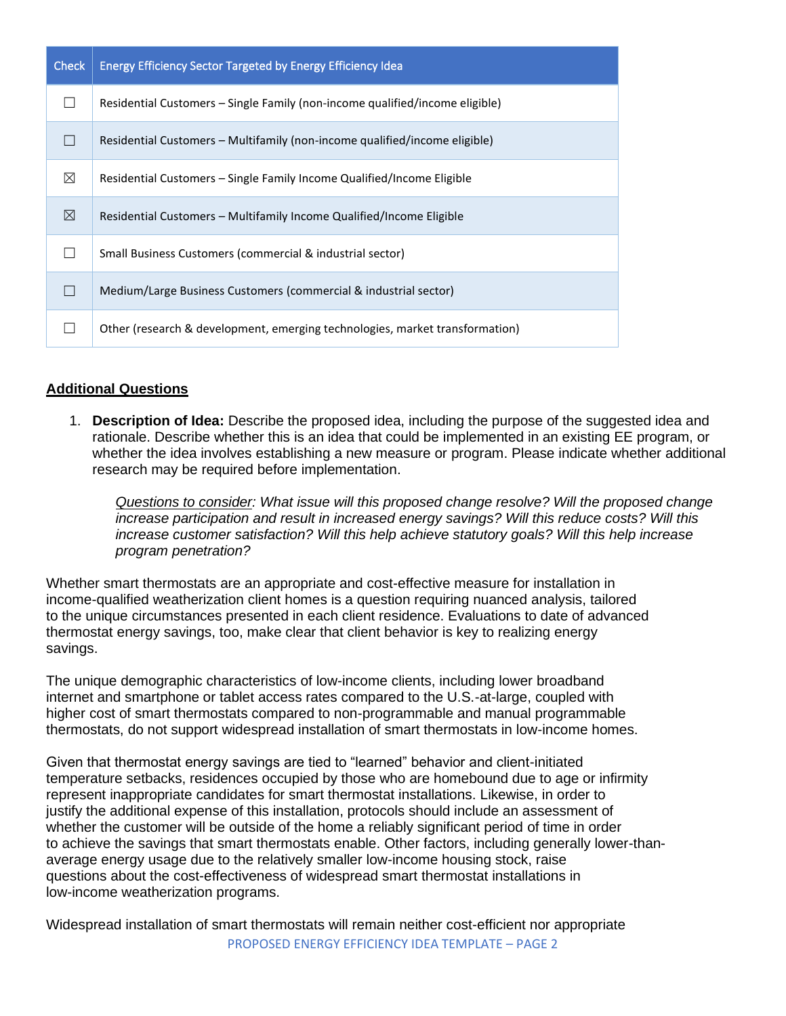| <b>Check</b> | <b>Energy Efficiency Sector Targeted by Energy Efficiency Idea</b>           |
|--------------|------------------------------------------------------------------------------|
|              | Residential Customers – Single Family (non-income qualified/income eligible) |
|              | Residential Customers – Multifamily (non-income qualified/income eligible)   |
| $\boxtimes$  | Residential Customers - Single Family Income Qualified/Income Eligible       |
| ⊠            | Residential Customers - Multifamily Income Qualified/Income Eligible         |
|              | Small Business Customers (commercial & industrial sector)                    |
|              | Medium/Large Business Customers (commercial & industrial sector)             |
|              | Other (research & development, emerging technologies, market transformation) |

# **Additional Questions**

1. **Description of Idea:** Describe the proposed idea, including the purpose of the suggested idea and rationale. Describe whether this is an idea that could be implemented in an existing EE program, or whether the idea involves establishing a new measure or program. Please indicate whether additional research may be required before implementation.

*Questions to consider: What issue will this proposed change resolve? Will the proposed change increase participation and result in increased energy savings? Will this reduce costs? Will this increase customer satisfaction? Will this help achieve statutory goals? Will this help increase program penetration?* 

Whether smart thermostats are an appropriate and cost-effective measure for installation in income-qualified weatherization client homes is a question requiring nuanced analysis, tailored to the unique circumstances presented in each client residence. Evaluations to date of advanced thermostat energy savings, too, make clear that client behavior is key to realizing energy savings.

The unique demographic characteristics of low-income clients, including lower broadband internet and smartphone or tablet access rates compared to the U.S.-at-large, coupled with higher cost of smart thermostats compared to non-programmable and manual programmable thermostats, do not support widespread installation of smart thermostats in low-income homes.

Given that thermostat energy savings are tied to "learned" behavior and client-initiated temperature setbacks, residences occupied by those who are homebound due to age or infirmity represent inappropriate candidates for smart thermostat installations. Likewise, in order to justify the additional expense of this installation, protocols should include an assessment of whether the customer will be outside of the home a reliably significant period of time in order to achieve the savings that smart thermostats enable. Other factors, including generally lower-thanaverage energy usage due to the relatively smaller low-income housing stock, raise questions about the cost-effectiveness of widespread smart thermostat installations in low-income weatherization programs.

PROPOSED ENERGY EFFICIENCY IDEA TEMPLATE – PAGE 2 Widespread installation of smart thermostats will remain neither cost-efficient nor appropriate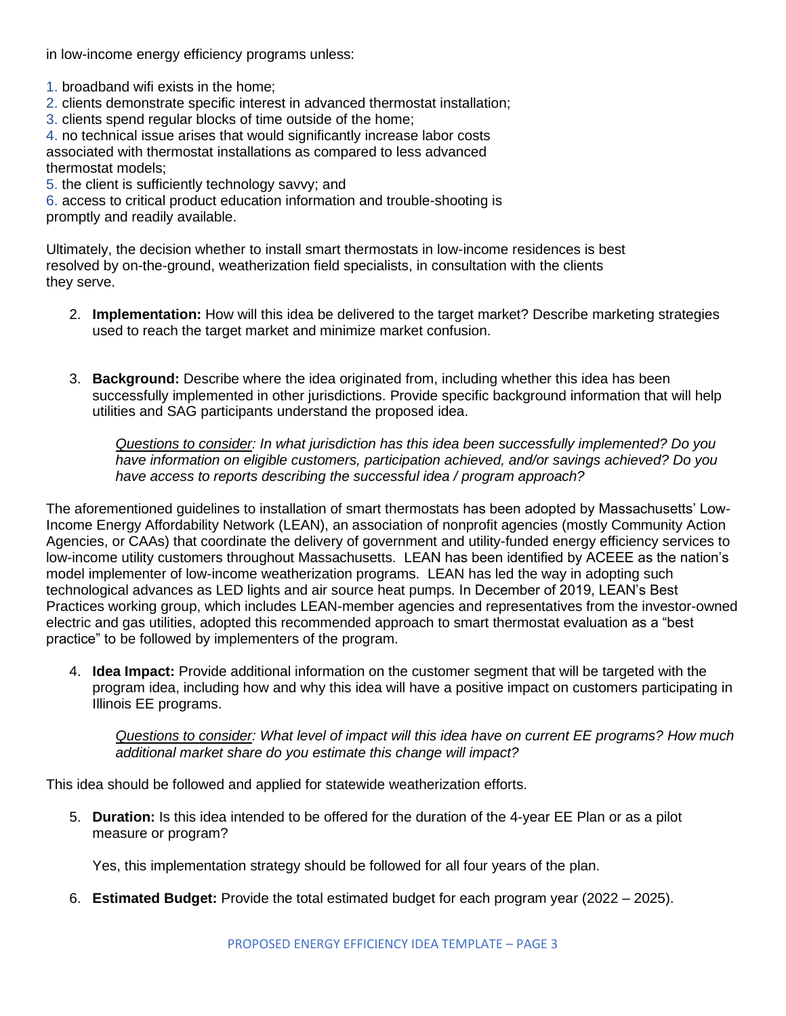in low-income energy efficiency programs unless:

- 1. broadband wifi exists in the home;
- 2. clients demonstrate specific interest in advanced thermostat installation;
- 3. clients spend regular blocks of time outside of the home;

4. no technical issue arises that would significantly increase labor costs associated with thermostat installations as compared to less advanced thermostat models;

5. the client is sufficiently technology savvy; and

6. access to critical product education information and trouble-shooting is promptly and readily available.

Ultimately, the decision whether to install smart thermostats in low-income residences is best resolved by on-the-ground, weatherization field specialists, in consultation with the clients they serve.

- 2. **Implementation:** How will this idea be delivered to the target market? Describe marketing strategies used to reach the target market and minimize market confusion.
- 3. **Background:** Describe where the idea originated from, including whether this idea has been successfully implemented in other jurisdictions. Provide specific background information that will help utilities and SAG participants understand the proposed idea.

*Questions to consider: In what jurisdiction has this idea been successfully implemented? Do you have information on eligible customers, participation achieved, and/or savings achieved? Do you have access to reports describing the successful idea / program approach?* 

The aforementioned guidelines to installation of smart thermostats has been adopted by Massachusetts' Low-Income Energy Affordability Network (LEAN), an association of nonprofit agencies (mostly Community Action Agencies, or CAAs) that coordinate the delivery of government and utility-funded energy efficiency services to low-income utility customers throughout Massachusetts. LEAN has been identified by ACEEE as the nation's model implementer of low-income weatherization programs. LEAN has led the way in adopting such technological advances as LED lights and air source heat pumps. In December of 2019, LEAN's Best Practices working group, which includes LEAN-member agencies and representatives from the investor-owned electric and gas utilities, adopted this recommended approach to smart thermostat evaluation as a "best practice" to be followed by implementers of the program.

4. **Idea Impact:** Provide additional information on the customer segment that will be targeted with the program idea, including how and why this idea will have a positive impact on customers participating in Illinois EE programs.

*Questions to consider: What level of impact will this idea have on current EE programs? How much additional market share do you estimate this change will impact?*

This idea should be followed and applied for statewide weatherization efforts.

5. **Duration:** Is this idea intended to be offered for the duration of the 4-year EE Plan or as a pilot measure or program?

Yes, this implementation strategy should be followed for all four years of the plan.

6. **Estimated Budget:** Provide the total estimated budget for each program year (2022 – 2025).